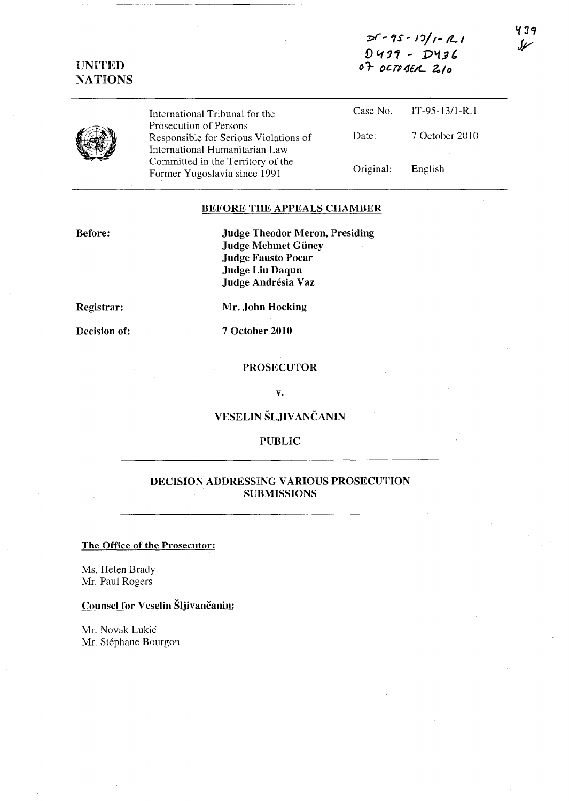$25 - 95 - 10/1 - 1$  $D$ 439 -  $D$ 436 *Or ()C.TP(J£A-. 2.10* 

139



International Tribunal for the Prosecution of Persons Responsible for Serious Violations of International Humanitarian Law Committed in the Territory of the Former Yugoslavia since 1991 Case No. Date: Original: IT -95-13/1-R.l 7 October 2010 English

### BEFORE THE APPEALS CHAMBER

Before:

UNITED **NATIONS** 

> Judge Theodor Meron, Presiding Judge Mehmet Güney Judge Fausto Pocar Judge Liu Daqun Judge Andrésia Vaz

Registrar:

Decision of:

Mr. John Hocking

7 October 2010

### PROSECUTOR

v.

# VESELIN ŠLJIVANČANIN

## PUBLIC

### DECISION ADDRESSING VARIOUS PROSECUTION SUBMISSIONS

The Office of the Prosecutor:

Ms. Helen Brady Mr. Paul Rogers

### Counsel for Veselin Šljivančanin:

Mr. Novak Lukic Mr. Stéphane Bourgon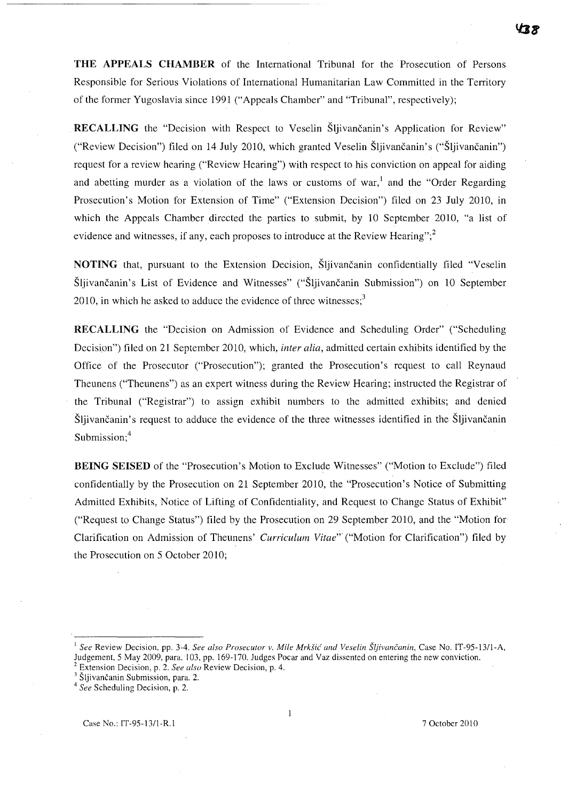**THE APPEALS CHAMBER** of the International Tribunal for the Prosecution of Persons Responsible for Serious Violations of International Humanitarian Law Committed in the Territory of the former Yugoslavia since 1991 ("Appeals Chamber" and "Tribunal", respectively);

**RECALLING** the "Decision with Respect to Veselin Sljivancanin's Application for Review" ("Review Decision") filed on 14 July 2010, which granted Veselin Sljivancanin's ("Sljivancanin") request for a review hearing ("Review Hearing") with respect to his conviction on appeal for aiding and abetting murder as a violation of the laws or customs of war,<sup>1</sup> and the "Order Regarding" Prosecution's Motion for Extension of Time" ("Extension Decision") filed on 23 July 2010, in which the Appeals Chamber directed the parties to submit, by 10 September 2010, "a list of evidence and witnesses, if any, each proposes to introduce at the Review Hearing"; $^{2}$ 

**NOTING** that, pursuant to the Extension Decision, Sljivančanin confidentially filed "Veselin" Sljivancanin's List of Evidence and Witnesses" ("Sljivancanin Submission") on 10 September 2010, in which he asked to adduce the evidence of three witnesses; $3$ 

**RECALLING** the "Decision on Admission of Evidence and Scheduling Order" ("Scheduling Decision") filed on 21 September 2010, which, *inter alia,* admitted certain exhibits identified by the Office of the Prosecutor ("Prosecution"); granted the Prosecution's request to call Reynaud Theunens ("Theunens") as an expert witness during the Review Hearing; instructed the Registrar of the Tribunal ("Registrar") to assign exhibit numbers to the admitted exhibits; and denied Sljivancanin's request to adduce the evidence of the three witnesses identified in the Sljivancanin Submission; $4$ 

**BEING SEISED** of the "Prosecution's Motion to Exclude Witnesses" ("Motion to Exclude") filed confidentially by the Prosecution on 21 September 2010, the "Prosecution's Notice of Submitting Admitted Exhibits, Notice of Lifting of Confidentiality, and Request to Change Status of Exhibit" ("Request to Change Status") filed by the Prosecution on 29 September 2010, and the "Motion for Clarification on Admission of Theunens' *Curriculum Vitae*" ("Motion for Clarification") filed by the Prosecution on 5 October 2010;

<sup>I</sup>*See* Review Decision, pp. 3-4. *See also Prosecutor v. Mile MrkSiG' and Veselin Sljivancanin,* Case No. IT-95-13/l-A, Judgement, 5 May 2009, para. 103, pp. 169-170. Judges Pocar and Vaz dissented on entering the new conviction.

<sup>2</sup> Extension Decision, p. 2. *See also* Review Decision, p. 4.

<sup>&</sup>lt;sup>3</sup> Šljivančanin Submission, para. 2.

*<sup>4</sup> See* Scheduling Decision, p. 2.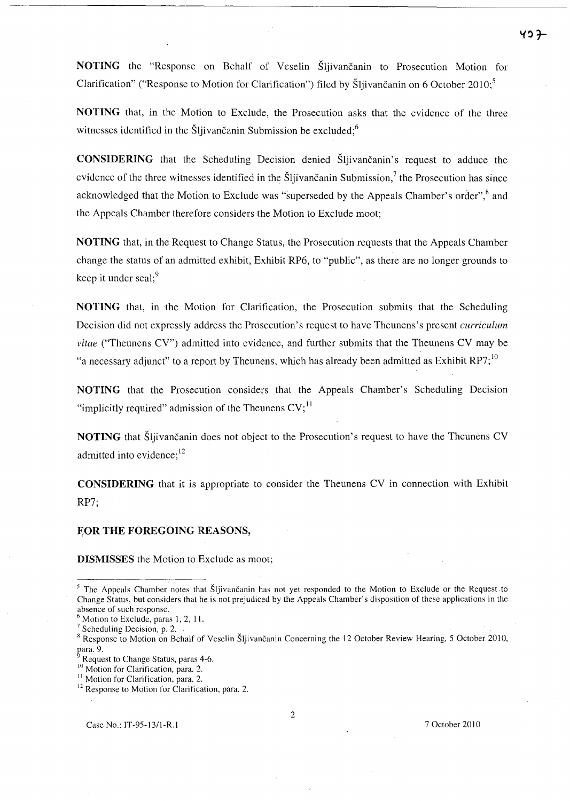43 7

**NOTING** the "Response on Behalf of Veselin Šljivančanin to Prosecution Motion for Clarification" ("Response to Motion for Clarification") filed by Šljivančanin on 6 October 2010;<sup>5</sup>

**NOTING** that, in the Motion to Exclude, the Prosecution asks that the evidence of the three witnesses identified in the Sljivancanin Submission be excluded; $<sup>6</sup>$ </sup>

**CONSIDERING** that the Scheduling Decision denied Sljivancanin's request to adduce the evidence of the three witnesses identified in the Sliivancanin Submission,<sup>7</sup> the Prosecution has since acknowledged that the Motion to Exclude was "superseded by the Appeals Chamber's order",<sup>8</sup> and the Appeals Chamber therefore considers the Motion to Exclude moot;

**NOTING** that, in the Request to Change Status, the Prosecution requests that the Appeals Chamber change the status of an admitted exhibit, Exhibit RP6, to "public", as there are no longer grounds to keep it under seal; $9$ 

**NOTING** that, in the Motion for Clarification, the Prosecution submits that the Scheduling Decision did not expressly address the Prosecution's request to have Theunens's present *curriculum vitae* ("Theunens CV") admitted into evidence, and further submits that the Theunens CV may be "a necessary adjunct" to a report by Theunens, which has already been admitted as Exhibit RP7;<sup>10</sup>

**NOTING** that the Prosecution considers that the Appeals Chamber's Scheduling Decision "implicitly required" admission of the Theunens  $CV_i<sup>11</sup>$ 

**NOTING** that Sljivančanin does not object to the Prosecution's request to have the Theunens CV admitted into evidence; $^{12}$ 

**CONSIDERING** that it is appropriate to consider the Theunens CV in connection with Exhibit RP7;

#### ~OR **THE FOREGOING REASONS,**

**DISMISSES** the Motion to Exclude as moot;

 $<sup>5</sup>$  The Appeals Chamber notes that Šljivančanin has not yet responded to the Motion to Exclude or the Request to</sup> Change Status, but considers that he is not prejudiced by the Appeals Chamber's disposition of these applications in the absence of such response.

Motion to Exclude, paras 1, 2, 11.

<sup>7</sup> Scheduling Decision, p. 2. .

<sup>&</sup>lt;sup>8</sup> Response to Motion on Behalf of Veselin Šljivančanin Concerning the 12 October Review Hearing, 5 October 2010, para. 9.

Request to Change Status, paras 4-6.

<sup>&</sup>lt;sup>10</sup> Motion for Clarification, para. 2.

<sup>&</sup>lt;sup>11</sup> Motion for Clarification, para. 2.

<sup>&</sup>lt;sup>12</sup> Response to Motion for Clarification, para. 2.